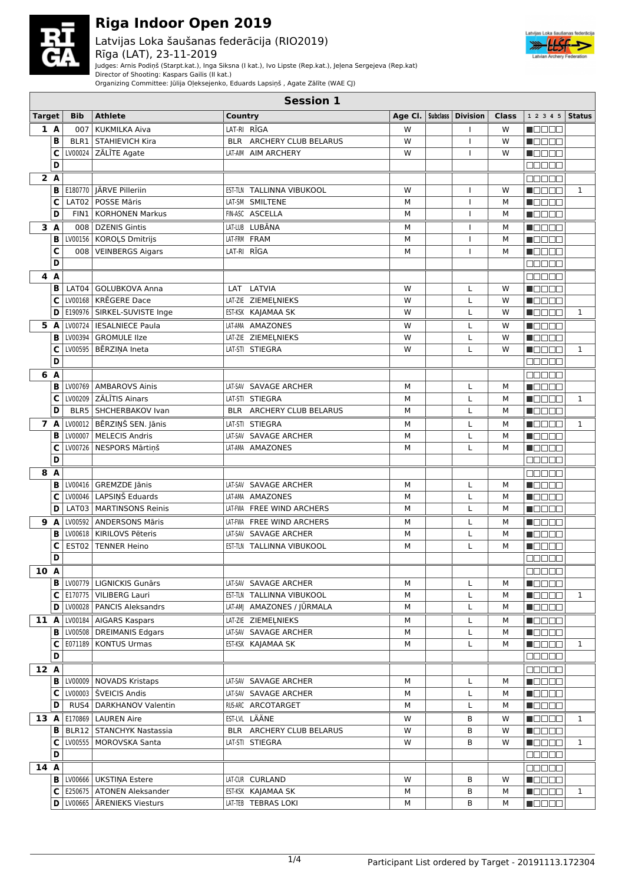

Latvijas Loka šaušanas federācija (RIO2019) Rīga (LAT), 23-11-2019



Judges: Arnis Podiņš (Starpt.kat.), Inga Siksna (I kat.), Ivo Lipste (Rep.kat.), Jeļena Sergejeva (Rep.kat)

Director of Shooting: Kaspars Gailis (II kat.)

Organizing Committee: Jūlija Oļeksejenko, Eduards Lapsiņš , Agate Zālīte (WAE CJ)

| <b>Session 1</b> |     |            |                                     |                            |   |  |                                   |       |                                              |              |
|------------------|-----|------------|-------------------------------------|----------------------------|---|--|-----------------------------------|-------|----------------------------------------------|--------------|
| <b>Target</b>    |     | <b>Bib</b> | <b>Athlete</b>                      | Country                    |   |  | Age Cl. $ $ Subclass $ $ Division | Class | 1 2 3 4 5                                    | Status       |
|                  | 1A  | 007        | <b>KUKMILKA Aiva</b>                | LAT-RI RĪGA                | W |  | т                                 | W     | n Els Els                                    |              |
|                  | B   |            | <b>BLR1   STAHIEVICH Kira</b>       | BLR ARCHERY CLUB BELARUS   | W |  | $\mathbf{I}$                      | W     | N E E E E                                    |              |
|                  | C   |            | LV00024 ZĀLĪTE Agate                | LAT-AIM AIM ARCHERY        | W |  | т                                 | W     | M O O O O                                    |              |
|                  | D   |            |                                     |                            |   |  |                                   |       | 00000                                        |              |
| 2A               |     |            |                                     |                            |   |  |                                   |       | 88888                                        |              |
|                  | B   |            | E180770 JÄRVE Pilleriin             | EST-TLN TALLINNA VIBUKOOL  | W |  | т                                 | W     | N EI EIN                                     | 1            |
|                  | C   | LAT02      | POSSE Māris                         | LAT-SM SMILTENE            | М |  | T                                 | M     | MAN DI DI S                                  |              |
|                  | D   | FIN1       | <b>KORHONEN Markus</b>              | FIN-ASC ASCELLA            | M |  | т                                 | м     | Maaaa                                        |              |
| 3A               |     | 008        | <b>DZENIS Gintis</b>                | LAT-LUB LUBĀNA             | M |  | T                                 | м     | Maaaa                                        |              |
|                  | B   |            | LV00156   KOROĻS Dmitrijs           | LAT-FRM FRAM               | М |  | $\mathbf{I}$                      | M     | <b>Reces</b>                                 |              |
|                  | C   |            | 008   VEINBERGS Aigars              | LAT-RI RĪGA                | M |  | $\overline{1}$                    | М     | n do e d                                     |              |
|                  | D   |            |                                     |                            |   |  |                                   |       | 88888                                        |              |
| 4 A              |     |            |                                     |                            |   |  |                                   |       | e se se                                      |              |
|                  | в   | LAT04      | GOLUBKOVA Anna                      | LAT LATVIA                 | W |  | L                                 | W     | Maaaa                                        |              |
|                  | C   |            | LV00168   KRĒGERE Dace              | LAT-ZIE ZIEMEĻNIEKS        | W |  | L                                 | W     | n 800a                                       |              |
|                  |     |            |                                     |                            |   |  |                                   |       |                                              |              |
|                  | D   |            | E190976   SIRKEL-SUVISTE Inge       | EST-KSK KAJAMAA SK         | w |  | L                                 | W     | n de e e                                     | 1            |
| 5 A              |     |            | LV00724   IESALNIECE Paula          | LAT-AMA AMAZONES           | W |  | L                                 | W     | n de e e                                     |              |
|                  | в   |            | LV00394   GROMULE IIze              | LAT-ZIE ZIEMEĻNIEKS        | W |  | L                                 | W     | n de se                                      |              |
|                  | c   |            | LV00595   BĒRZIŅA Ineta             | LAT-STI STIEGRA            | W |  | L                                 | W     | n Booa                                       | 1            |
|                  | D   |            |                                     |                            |   |  |                                   |       | M M M M M                                    |              |
| 6 A              |     |            |                                     |                            |   |  |                                   |       | MA NA U                                      |              |
|                  | в   |            | LV00769   AMBAROVS Ainis            | LAT-SAV SAVAGE ARCHER      | М |  | L                                 | M     | MA TITLET                                    |              |
|                  | c   |            | LV00209   ZĀLĪTIS Ainars            | LAT-STI STIEGRA            | M |  | L                                 | М     | n i se se                                    | $\mathbf{1}$ |
|                  | D   |            | BLR5   SHCHERBAKOV Ivan             | BLR ARCHERY CLUB BELARUS   | M |  | L                                 | М     | $\blacksquare$                               |              |
| 7 A              |     |            | LV00012   BĒRZIŅŠ SEN. Jānis        | LAT-STI STIEGRA            | м |  | L                                 | М     | n de e e                                     | $\mathbf{1}$ |
|                  | B   |            | LV00007   MELECIS Andris            | LAT-SAV SAVAGE ARCHER      | М |  | L                                 | M     | n Booo                                       |              |
|                  | C   |            | LV00726   NESPORS Mārtiņš           | LAT-AMA AMAZONES           | М |  | L                                 | M     | N DE E E                                     |              |
|                  | D   |            |                                     |                            |   |  |                                   |       | Ma Sala                                      |              |
| 8 A              |     |            |                                     |                            |   |  |                                   |       | eeeee                                        |              |
|                  | в   |            | LV00416   GREMZDE Jānis             | LAT-SAV SAVAGE ARCHER      | M |  | L                                 | м     | n 800a                                       |              |
|                  | C   |            | LV00046   LAPSIŅŠ Eduards           | LAT-AMA AMAZONES           | M |  | L                                 | М     | n do o a                                     |              |
|                  | D   |            | LAT03   MARTINSONS Reinis           | LAT-FWA FREE WIND ARCHERS  | M |  | L                                 | М     | MODE 8                                       |              |
|                  | 9 A |            | LV00592   ANDERSONS Māris           | LAT-FWA FREE WIND ARCHERS  | М |  | L                                 | М     | n Belek                                      |              |
|                  | в   |            | LV00618   KIRILOVS Pēteris          | LAT-SAV SAVAGE ARCHER      | M |  | L                                 | М     | Maaaa                                        |              |
|                  | C   | EST02      | <b>TENNER Heino</b>                 | EST-TLN TALLINNA VIBUKOOL  | М |  | L                                 | М     | N E E E E                                    |              |
|                  | D   |            |                                     |                            |   |  |                                   |       | <b>NODER</b>                                 |              |
| $\boxed{10}$     |     |            |                                     |                            |   |  |                                   |       | na na m                                      |              |
|                  | в   |            | LV00779   LIGNICKIS Gunārs          | LAT-SAV SAVAGE ARCHER      | М |  | L                                 | м     | N E E E E                                    |              |
|                  | C   |            | E170775   VILIBERG Lauri            | EST-TLN TALLINNA VIBUKOOL  | М |  | L                                 | м     | Macao                                        | $\mathbf{1}$ |
|                  | D   |            | LV00028   PANCIS Aleksandrs         | LAT-AM  AMAZONES / JŪRMALA | М |  | Г                                 | М     | <b>Maaaa</b>                                 |              |
| 11 A             |     |            | LV00184   AIGARS Kaspars            | LAT-ZIE ZIEMEĻNIEKS        | М |  | L                                 | м     | <b>N</b> OOOO                                |              |
|                  | В   |            | LV00508   DREIMANIS Edgars          | LAT-SAV SAVAGE ARCHER      | М |  | $\mathsf L$                       | М     | $\blacksquare$ $\square$ $\square$ $\square$ |              |
|                  | C   |            | E071189 KONTUS Urmas                | EST-KSK KAJAMAA SK         | M |  | Г                                 | М     | MOOOO                                        | $\mathbf{1}$ |
|                  | D   |            |                                     |                            |   |  |                                   |       | 88888                                        |              |
| 12 A             |     |            |                                     |                            |   |  |                                   |       | <b>nasas</b>                                 |              |
|                  | B   |            | LV00009   NOVADS Kristaps           | LAT-SAV SAVAGE ARCHER      | М |  | L                                 | м     | <b>Nacional</b>                              |              |
|                  | C   |            | LV00003 ŠVEICIS Andis               | LAT-SAV SAVAGE ARCHER      | М |  | L                                 | м     | <b>M</b> OOOO                                |              |
|                  | D   |            | RUS4   DARKHANOV Valentin           | RUS-ARC ARCOTARGET         | М |  | Г                                 | м     | Maaaa                                        |              |
|                  |     |            |                                     |                            |   |  |                                   |       |                                              |              |
| 13 A             |     |            | E170869   LAUREN Aire               | EST-LVL LÄÄNE              | w |  | В                                 | W     | M O O O O                                    | 1            |
|                  | в   |            | BLR12   STANCHYK Nastassia          | BLR ARCHERY CLUB BELARUS   | W |  | В                                 | W     | Maaaa                                        |              |
|                  | C   |            | LV00555   MOROVSKA Santa            | LAT-STI STIEGRA            | W |  | B                                 | W     | <b>MODOO</b>                                 | $\mathbf{1}$ |
|                  | D   |            |                                     |                            |   |  |                                   |       | 88888                                        |              |
| 14A              |     |            |                                     |                            |   |  |                                   |       | <b>BBBBB</b>                                 |              |
|                  |     |            | <b>B</b>   LV00666   UKSTINA Estere | LAT-CUR CURLAND            | W |  | В                                 | W     | <b>Macao</b>                                 |              |
|                  | C   |            | E250675   ATONEN Aleksander         | EST-KSK KAJAMAA SK         | М |  | В                                 | М     | <b>Naca</b>                                  | $\mathbf{1}$ |
|                  | D   |            | LV00665   ĀRENIEKS Viesturs         | LAT-TEB TEBRAS LOKI        | М |  | B                                 | м     | <b>Reces</b>                                 |              |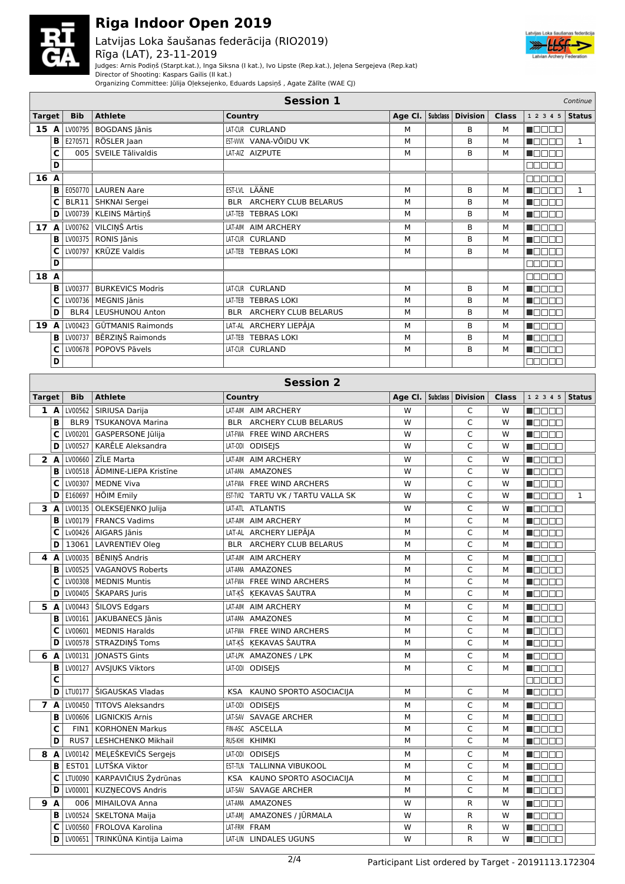

Latvijas Loka šaušanas federācija (RIO2019) Rīga (LAT), 23-11-2019



Judges: Arnis Podiņš (Starpt.kat.), Inga Siksna (I kat.), Ivo Lipste (Rep.kat.), Jeļena Sergejeva (Rep.kat)

Director of Shooting: Kaspars Gailis (II kat.)

Organizing Committee: Jūlija Oļeksejenko, Eduards Lapsiņš , Agate Zālīte (WAE CJ)

| <b>Session 1</b><br>Continue |                                                                              |            |                          |                          |         |  |                     |              |                  |               |
|------------------------------|------------------------------------------------------------------------------|------------|--------------------------|--------------------------|---------|--|---------------------|--------------|------------------|---------------|
| <b>Target</b>                |                                                                              | <b>Bib</b> | <b>Athlete</b>           | Country                  | Age Cl. |  | Subclass   Division | <b>Class</b> | 12345            | <b>Status</b> |
| 15                           | A                                                                            | LV00795    | <b>BOGDANS Jānis</b>     | LAT-CUR CURLAND          | M       |  | B                   | М            | <b>REAL BEAT</b> |               |
|                              | в                                                                            | E270571    | RÖSLER Jaan              | EST-WWK VANA-VÕIDU VK    | M       |  | B                   | М            | UN DI DI T       | $\mathbf{1}$  |
|                              | C                                                                            |            | 005 SVEILE Tālivaldis    | LAT-AIZ AIZPUTE          | M       |  | B                   | М            | <b>MODEN</b>     |               |
|                              | D                                                                            |            |                          |                          |         |  |                     |              | 88888            |               |
| 16 A                         |                                                                              |            |                          |                          |         |  |                     |              | mmmm             |               |
|                              | в                                                                            | E050770    | <b>LAUREN Aare</b>       | EST-LVL LÄÄNE            | M       |  | B                   | М            | <b>READER</b>    | $\mathbf{1}$  |
|                              | C                                                                            | BLR11      | SHKNAI Sergei            | BLR ARCHERY CLUB BELARUS | M       |  | B                   | М            | <b>RADER</b>     |               |
|                              | D                                                                            | LV00739    | KLEINS Mārtiņš           | LAT-TEB TEBRAS LOKI      | M       |  | B                   | М            | <b>RADAR</b>     |               |
| 17A                          |                                                                              | LV00762    | VILCIŅŠ Artis            | LAT-AIM AIM ARCHERY      | M       |  | B                   | М            | annon            |               |
|                              | в                                                                            | LV00375    | RONIS Jānis              | LAT-CUR CURLAND          | M       |  | B                   | М            | na an T          |               |
|                              | C                                                                            | LV00797    | <b>KRŪZE Valdis</b>      | LAT-TEB TEBRAS LOKI      | M       |  | B                   | М            | <b>READER</b>    |               |
|                              | D                                                                            |            |                          |                          |         |  |                     |              | MA MAR           |               |
| 18 A                         |                                                                              |            |                          |                          |         |  |                     |              | MA MAR           |               |
|                              | в                                                                            | LV00377    | <b>BURKEVICS Modris</b>  | LAT-CUR CURLAND          | M       |  | B                   | М            | <b>RADOR</b>     |               |
|                              | C                                                                            | LV00736    | MEGNIS Jānis             | LAT-TEB TEBRAS LOKI      | M       |  | B                   | М            | n de en          |               |
|                              | D                                                                            | BLR4       | <b>LEUSHUNOU Anton</b>   | BLR ARCHERY CLUB BELARUS | M       |  | B                   | М            | n mana           |               |
| 19                           | A                                                                            | LV00423    | <b>GŪTMANIS Raimonds</b> | LAT-AL ARCHERY LIEPĀJA   | M       |  | B                   | М            | n de e e         |               |
|                              | в                                                                            | LV00737    | BĒRZIŅŠ Raimonds         | LAT-TEB TEBRAS LOKI      | M       |  | <sub>R</sub>        | М            | n an an          |               |
|                              | C                                                                            | LV00678    | POPOVS Pāvels            | LAT-CUR CURLAND          | M       |  | B                   | М            | n Els Els        |               |
|                              | D                                                                            |            |                          |                          |         |  |                     |              | 88888            |               |
|                              |                                                                              |            |                          |                          |         |  |                     |              |                  |               |
|                              | <b>Session 2</b><br>and the state of the state<br>and the state of the state |            |                          |                          |         |  |                     |              |                  |               |

| <b>Target</b> | <b>Bib</b> | <b>Athlete</b>                   | Country                            |   | Age Cl.   Subclass   Division | <b>Class</b> | $1 2 3 4 5$ Status |         |
|---------------|------------|----------------------------------|------------------------------------|---|-------------------------------|--------------|--------------------|---------|
| 1A            | LV00562    | SIRIUSA Darija                   | LAT-AIM AIM ARCHERY                | W | C                             | W            | n Els Els          |         |
| B             | BLR9       | TSUKANOVA Marina                 | BLR ARCHERY CLUB BELARUS           | W | $\mathsf{C}$                  | W            | n de de            |         |
| с             | LV00201    | <b>GASPERSONE Jūlija</b>         | LAT-FWA FREE WIND ARCHERS          | W | C                             | W            | n do sa            |         |
| D             | LV00527    | KARĒLE Aleksandra                | LAT-ODI ODISEJS                    | W | C                             | W            | Maaaa              |         |
| 2 A           | LV00660    | ZĪLE Marta                       | LAT-AIM AIM ARCHERY                | W | C                             | W            | Maaaa              |         |
| B             | LV00518    | <b>ADMINE-LIEPA Kristine</b>     | LAT-AMA AMAZONES                   | W | $\mathsf{C}$                  | W            | Maaaa              |         |
| С             | LV00307    | MEDNE Viva                       | LAT-FWA FREE WIND ARCHERS          | W | C                             | W            | n ao am            |         |
| D             |            | E160697   HÕIM Emily             | EST-TVK2 TARTU VK / TARTU VALLA SK | W | $\mathsf{C}$                  | W            | n din sa           | $\,1\,$ |
| 3A            |            | LV00135   OLEKSEJENKO Julija     | LAT-ATL ATLANTIS                   | W | C                             | W            | n din sa           |         |
| в             |            | LV00179   FRANCS Vadims          | LAT-AIM AIM ARCHERY                | M | C                             | M            | n se se            |         |
| С             |            | Lv00426 AIGARS Jānis             | LAT-AL ARCHERY LIEPĀJA             | M | C                             | M            | n Booa             |         |
| D             | 13061      | LAVRENTIEV Oleg                  | BLR ARCHERY CLUB BELARUS           | M | C                             | M            | n do do            |         |
| 4 A           |            | LV00035 BĒNIŅŠ Andris            | LAT-AIM AIM ARCHERY                | M | C                             | M            | n do da            |         |
| В             | LV00525    | <b>VAGANOVS Roberts</b>          | LAT-AMA AMAZONES                   | M | C                             | M            | Maaaa              |         |
| C             | LV00308    | MEDNIS Muntis                    | LAT-FWA FREE WIND ARCHERS          | M | C                             | M            | N E E E E          |         |
| D             | LV00405    | ŠKAPARS Juris                    | LAT-KŠ KEKAVAS ŠAUTRA              | M | C                             | M            | Maaaa              |         |
| 5 A           |            | LV00443   ŠILOVS Edgars          | LAT-AIM AIM ARCHERY                | M | C                             | M            | Maaaa              |         |
| в             |            | LV00161   JAKUBANECS Jānis       | LAT-AMA AMAZONES                   | М | Ċ                             | M            | n do da            |         |
| С             |            | LV00601   MEDNIS Haralds         | LAT-FWA FREE WIND ARCHERS          | M | $\mathsf C$                   | M            | Maaaa              |         |
| D             |            | LV00578 STRAZDIŅŠ Toms           | LAT-KŠ KEKAVAS ŠAUTRA              | M | $\mathsf{C}$                  | M            | Maaaa              |         |
| 6 A           |            | LV00131   JONASTS Gints          | LAT-LPK AMAZONES / LPK             | M | C                             | М            | Maaaa              |         |
| В             |            | LV00127 AVSJUKS Viktors          | LAT-0DI ODISEJS                    | M | C                             | M            | <b>MODES</b>       |         |
| C             |            |                                  |                                    |   |                               |              | 00000              |         |
| D             |            | LTU0177   ŠIGAUSKAS Vladas       | KSA KAUNO SPORTO ASOCIACIJA        | M | C                             | М            | Maaaa              |         |
| 7 A           |            | LV00450 TITOVS Aleksandrs        | LAT-ODI ODISEIS                    | M | C                             | M            | n de e a           |         |
| в             | LV00606    | <b>LIGNICKIS Arnis</b>           | LAT-SAV SAVAGE ARCHER              | M | C                             | M            | Maaaa              |         |
| C             | FIN1       | <b>KORHONEN Markus</b>           | FIN-ASC ASCELLA                    | M | $\mathsf C$                   | M            | <b>R</b> ooco      |         |
| D             | RUS7       | LESHCHENKO Mikhail               | RUS-KHI KHIMKI                     | M | $\mathsf{C}$                  | M            | n de sa            |         |
| 8 A           |            | LV00142 MEĻEŠKEVIČS Sergejs      | LAT-ODI ODISEJS                    | M | C                             | М            | <b>RATION</b>      |         |
| B             |            | EST01 LUTŠKA Viktor              | EST-TLN TALLINNA VIBUKOOL          | M | C                             | M            | Maaaa              |         |
| С             |            | LTU0090 KARPAVIČIUS Žydrūnas     | KSA KAUNO SPORTO ASOCIACIJA        | M | C                             | M            | N E E E E          |         |
| D             | LV00001    | <b>KUZNECOVS Andris</b>          | LAT-SAV SAVAGE ARCHER              | M | $\mathsf{C}$                  | M            | N BEET             |         |
| 9<br>A        | 006        | MIHAILOVA Anna                   | LAT-AMA AMAZONES                   | W | R                             | W            | N BEET             |         |
| B             |            | LV00524 SKELTONA Maija           | LAT-AMJ AMAZONES / JŪRMALA         | W | R                             | W            | <b>NOCES</b>       |         |
| C             |            | LV00560   FROLOVA Karolina       | LAT-FRM FRAM                       | W | R                             | W            | Maaaa              |         |
| D             |            | LV00651   TRINKŪNA Kintija Laima | LAT-LIN LINDALES UGUNS             | W | R                             | W            | Maaaa              |         |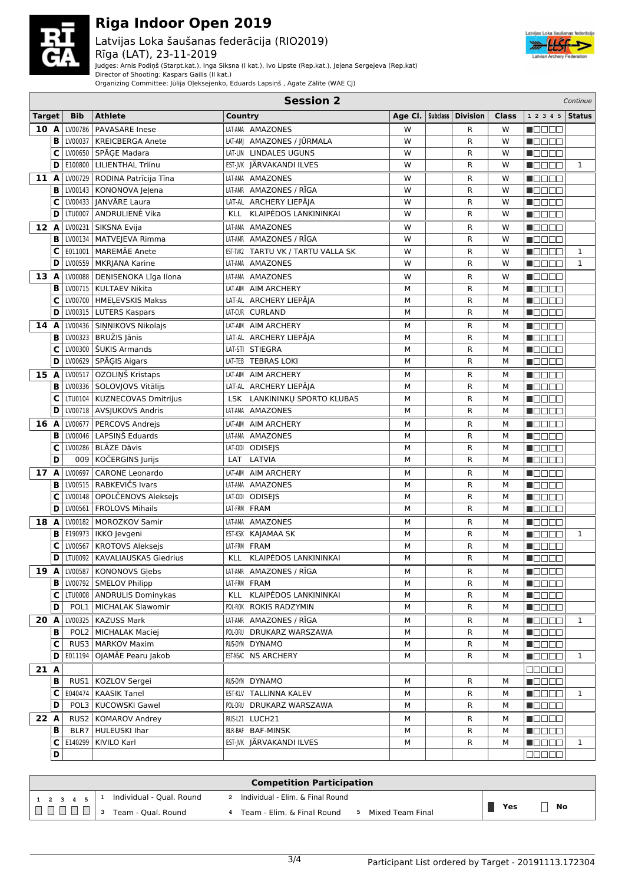

Latvijas Loka šaušanas federācija (RIO2019) Rīga (LAT), 23-11-2019



Judges: Arnis Podiņš (Starpt.kat.), Inga Siksna (I kat.), Ivo Lipste (Rep.kat.), Jeļena Sergejeva (Rep.kat)

Director of Shooting: Kaspars Gailis (II kat.)

Organizing Committee: Jūlija Oļeksejenko, Eduards Lapsiņš , Agate Zālīte (WAE CJ)

|               | <b>Session 2</b><br>Continue |            |                                 |                                     |   |  |                                   |              |               |              |
|---------------|------------------------------|------------|---------------------------------|-------------------------------------|---|--|-----------------------------------|--------------|---------------|--------------|
| <b>Target</b> |                              | <b>Bib</b> | <b>Athlete</b>                  | Country                             |   |  | Age Cl. $ $ Subclass $ $ Division | <b>Class</b> | 1 2 3 4 5     | Status       |
| 10 A          |                              | LV00786    | <b>PAVASARE Inese</b>           | LAT-AMA AMAZONES                    | W |  | R                                 | W            | n Els Els     |              |
|               | B                            |            | LV00037   KREICBERGA Anete      | LAT-AM  AMAZONES / JŪRMALA          | W |  | R                                 | W            | n de de       |              |
|               | C                            |            | LV00650 SPĀGE Madara            | LAT-LIN LINDALES UGUNS              | W |  | R                                 | W            | M O O O O     |              |
|               | D                            |            | E100800   LILIENTHAL Triinu     | EST-JVK JÄRVAKANDI ILVES            | W |  | R                                 | W            | Maaaa         | $\mathbf{1}$ |
| 11A           |                              |            | LV00729   RODINA Patrīcija Tīna | LAT-AMA AMAZONES                    | W |  | R                                 | W            | n Belge       |              |
|               | B                            |            | LV00143   KONONOVA Jeļena       | LAT-AMR AMAZONES / RĪGA             | W |  | R                                 | W            | n oo oo a     |              |
|               | C                            |            | LV00433   JANVĀRE Laura         | LAT-AL ARCHERY LIEPĀJA              | W |  | R                                 | W            | Maaaa         |              |
|               | D                            | LTU0007    | ANDRULIENĖ Vika                 | KLAIPĖDOS LANKININKAI<br><b>KLL</b> | W |  | R                                 | W            | Maaaa         |              |
| 12A           |                              |            | LV00231 SIKSNA Evija            | LAT-AMA AMAZONES                    | W |  | R                                 | W            | Maaaa         |              |
|               | B                            |            | LV00134   MATVEJEVA Rimma       | AMAZONES / RĪGA<br>LAT-AMR          | W |  | R                                 | W            | n da da       |              |
|               | C                            | E011001    | MAREMÄE Anete                   | EST-TVK2 TARTU VK / TARTU VALLA SK  | W |  | R                                 | W            | n oo oo o     | $\mathbf{1}$ |
|               | D                            |            | LV00559   MKRJANA Karine        | AMAZONES<br>LAT-AMA                 | W |  | R                                 | W            | N OO O O      | $\mathbf{1}$ |
| 13A           |                              |            | LV00088   DENISENOKA Līga Ilona | <b>AMAZONES</b><br>LAT-AMA          | W |  | R                                 | W            | n de ee       |              |
|               | B                            |            | LV00715   KULTAEV Nikita        | LAT-AIM AIM ARCHERY                 | M |  | R                                 | M            | Maaaa         |              |
|               | C                            |            | LV00700   HMELEVSKIS Makss      | LAT-AL ARCHERY LIEPĀJA              | М |  | R                                 | M            | n Belge       |              |
|               | D                            |            | LV00315   LUTERS Kaspars        | LAT-CUR CURLAND                     | M |  | R                                 | M            | <b>M</b> ODOO |              |
| 14            | A                            |            | LV00436 SINNIKOVS Nikolajs      | LAT-AIM AIM ARCHERY                 | М |  | R                                 | М            | MAN DA S      |              |
|               | B                            |            | LV00323   BRUŽIS Jānis          | LAT-AL ARCHERY LIEPĀJA              | М |  | R                                 | M            | Maaaa         |              |
|               | C                            |            | LV00300   ŠUKIS Armands         | LAT-STI STIEGRA                     | M |  | R                                 | М            | n 800a        |              |
|               | D                            |            | LV00629 SPĀĢIS Aigars           | LAT-TEB TEBRAS LOKI                 | M |  | R                                 | M            | M E E E E     |              |
| 15A           |                              | LV00517    | OZOLIŅŠ Kristaps                | LAT-AIM AIM ARCHERY                 | М |  | R                                 | М            | n da a a      |              |
|               | B                            |            | LV00336 SOLOVJOVS Vitālijs      | LAT-AL ARCHERY LIEPĀJA              | М |  | R                                 | M            | n de e e      |              |
|               | C                            |            | LTU0104   KUZNECOVAS Dmitrijus  | LSK LANKININKŲ SPORTO KLUBAS        | M |  | R                                 | M            | Maaaa         |              |
|               | D                            |            | LV00718   AVSJUKOVS Andris      | LAT-AMA AMAZONES                    | М |  | R                                 | M            | <b>MODOO</b>  |              |
| 16 A          |                              |            | LV00677   PERCOVS Andrejs       | AIM ARCHERY<br>LAT-AIM              | М |  | R                                 | М            | n Oo Oo       |              |
|               | B                            |            | LV00046   LAPSINŠ Eduards       | LAT-AMA AMAZONES                    | М |  | R                                 | M            | <b>NODER</b>  |              |
|               | C                            |            | LV00286   BLĀZE Dāvis           | LAT-ODI ODISEJS                     | M |  | R                                 | M            | <b>M</b> OOOO |              |
|               | D                            | 009        | KOČERGINS Jurijs                | LATVIA<br>LAT                       | М |  | R                                 | М            | Maaaa         |              |
| 17 A          |                              | LV00697    | <b>CARONE Leonardo</b>          | LAT-AIM AIM ARCHERY                 | м |  | R                                 | М            | Maaaa         |              |
|               | в                            |            | LV00515   RABKEVIČS Ivars       | LAT-AMA<br>AMAZONES                 | М |  | R                                 | М            | N BE BE       |              |
|               | C                            |            | LV00148   OPOLČENOVS Aleksejs   | LAT-ODI ODISEJS                     | M |  | R                                 | M            | n oo oo       |              |
|               | D                            |            | LV00561   FROLOVS Mihails       | LAT-FRM FRAM                        | M |  | R                                 | M            | <b>M</b> OOOO |              |
| 18 A          |                              |            | LV00182   MOROZKOV Samir        | LAT-AMA AMAZONES                    | М |  | R                                 | М            | n de de       |              |
|               | B                            |            | E190973   IKKO Jevgeni          | EST-KSK KAJAMAA SK                  | M |  | R                                 | M            | n a seo       | $\mathbf{1}$ |
|               | C                            | LV00567    | <b>KROTOVS Aleksejs</b>         | LAT-FRM FRAM                        | М |  | R                                 | M            | Maaaa         |              |
|               | D                            |            | LTU0092   KAVALIAUSKAS Giedrius | KLL KLAIPĖDOS LANKININKAI           | M |  | R                                 | M            | n oo oo       |              |
|               |                              |            | 19 A LV00587 KONONOVS Glebs     | LAT-AMR AMAZONES / RIGA             | м |  | R                                 | М            | N OO OO       |              |
|               | в                            |            | LV00792   SMELOV Philipp        | LAT-FRM FRAM                        | М |  | R                                 | м            | N OO O O      |              |
|               | C                            |            | LTU0008 ANDRULIS Dominykas      | KLL KLAIPĖDOS LANKININKAI           | М |  | R                                 | М            | Maaaa         |              |
|               | D                            |            | POL1   MICHALAK Slawomir        | POL-ROK ROKIS RADZYMIN              | М |  | R                                 | М            | <b>Maaaa</b>  |              |
| 20 A          |                              |            | LV00325   KAZUSS Mark           | LAT-AMR AMAZONES / RĪGA             | м |  | R                                 | М            | n da da       | 1            |
|               | в                            |            | POL2 MICHALAK Maciej            | POL-DRU DRUKARZ WARSZAWA            | М |  | R                                 | М            | <b>Maaaa</b>  |              |
|               | C                            |            | RUS3   MARKOV Maxim             | RUS-DYN DYNAMO                      | М |  | R                                 | М            | Maaaa         |              |
|               | D                            |            | E011194   OJAMÄE Pearu Jakob    | EST-NSAC NS ARCHERY                 | М |  | R                                 | М            | <b>Manae</b>  | $\mathbf{1}$ |
| 21A           |                              |            |                                 |                                     |   |  |                                   |              | 88888         |              |
|               | в                            |            | RUS1   KOZLOV Sergei            | RUS-DYN DYNAMO                      | М |  | R                                 | М            | <b>MODOO</b>  |              |
|               | C                            |            | E040474   KAASIK Tanel          | EST-KLV TALLINNA KALEV              | М |  | R                                 | М            | N O D O O     | $\mathbf{1}$ |
|               | D                            |            | POL3   KUCOWSKI Gawel           | POL-DRU DRUKARZ WARSZAWA            | М |  | R                                 | М            | <b>Madaa</b>  |              |
| 22 A          |                              |            | RUS2   KOMAROV Andrey           | RUS-L21 LUCH21                      | М |  | R                                 | М            | <b>Madaa</b>  |              |
|               | в                            |            | BLR7   HULEUSKI Ihar            | BLR-BAF BAF-MINSK                   | М |  | R                                 | М            | <b>Maaaa</b>  |              |
|               | C                            |            | E140299   KIVILO Karl           | EST-JVK JÄRVAKANDI ILVES            | М |  | R                                 | М            | <b>Manag</b>  | $\mathbf{1}$ |
|               | D                            |            |                                 |                                     |   |  |                                   |              | 88888         |              |
|               |                              |            |                                 |                                     |   |  |                                   |              |               |              |

| <b>Competition Participation</b> |                          |                                                |                  |  |  |  |  |  |
|----------------------------------|--------------------------|------------------------------------------------|------------------|--|--|--|--|--|
| $1 \t2 \t3 \t4 \t5$              | Individual - Qual. Round | Individual - Elim. & Final Round<br>-2         |                  |  |  |  |  |  |
|                                  | Team - Oual, Round       | Team - Elim. & Final Round<br>Mixed Team Final | <b>No</b><br>Yes |  |  |  |  |  |